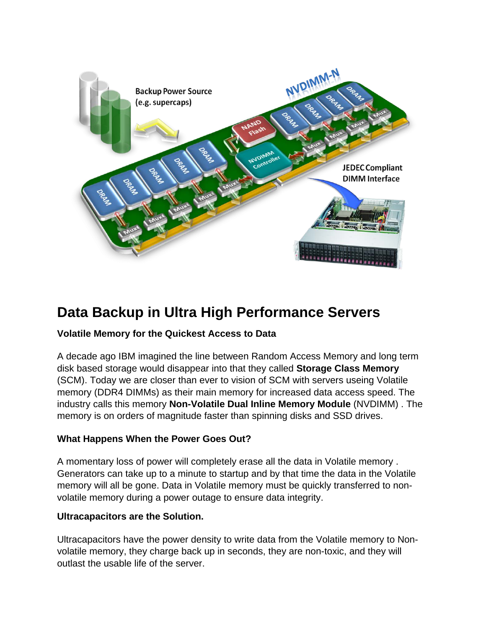

# **Data Backup in Ultra High Performance Servers**

## **Volatile Memory for the Quickest Access to Data**

A decade ago IBM imagined the line between Random Access Memory and long term disk based storage would disappear into that they called **Storage Class Memory**  (SCM). Today we are closer than ever to vision of SCM with servers useing Volatile memory (DDR4 DIMMs) as their main memory for increased data access speed. The industry calls this memory **Non-Volatile Dual Inline Memory Module** (NVDIMM) . The memory is on orders of magnitude faster than spinning disks and SSD drives.

#### **What Happens When the Power Goes Out?**

A momentary loss of power will completely erase all the data in Volatile memory . Generators can take up to a minute to startup and by that time the data in the Volatile memory will all be gone. Data in Volatile memory must be quickly transferred to nonvolatile memory during a power outage to ensure data integrity.

#### **Ultracapacitors are the Solution.**

Ultracapacitors have the power density to write data from the Volatile memory to Nonvolatile memory, they charge back up in seconds, they are non-toxic, and they will outlast the usable life of the server.